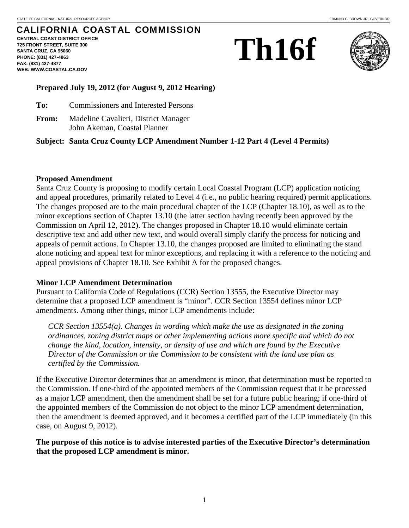# CALIFORNIA COASTAL COMMISSION

**CENTRAL COAST DISTRICT OFFICE 725 FRONT STREET, SUITE 300 SANTA CRUZ, CA 95060 PHONE: (831) 427-4863 FAX: (831) 427-4877 WEB: WWW.COASTAL.CA.GOV**





### **Prepared July 19, 2012 (for August 9, 2012 Hearing)**

- **To:** Commissioners and Interested Persons
- **From:** Madeline Cavalieri, District Manager John Akeman, Coastal Planner

### **Subject: Santa Cruz County LCP Amendment Number 1-12 Part 4 (Level 4 Permits)**

#### **Proposed Amendment**

Santa Cruz County is proposing to modify certain Local Coastal Program (LCP) application noticing and appeal procedures, primarily related to Level 4 (i.e., no public hearing required) permit applications. The changes proposed are to the main procedural chapter of the LCP (Chapter 18.10), as well as to the minor exceptions section of Chapter 13.10 (the latter section having recently been approved by the Commission on April 12, 2012). The changes proposed in Chapter 18.10 would eliminate certain descriptive text and add other new text, and would overall simply clarify the process for noticing and appeals of permit actions. In Chapter 13.10, the changes proposed are limited to eliminating the stand alone noticing and appeal text for minor exceptions, and replacing it with a reference to the noticing and appeal provisions of Chapter 18.10. See Exhibit A for the proposed changes.

### **Minor LCP Amendment Determination**

Pursuant to California Code of Regulations (CCR) Section 13555, the Executive Director may determine that a proposed LCP amendment is "minor". CCR Section 13554 defines minor LCP amendments. Among other things, minor LCP amendments include:

*CCR Section 13554(a). Changes in wording which make the use as designated in the zoning ordinances, zoning district maps or other implementing actions more specific and which do not change the kind, location, intensity, or density of use and which are found by the Executive Director of the Commission or the Commission to be consistent with the land use plan as certified by the Commission.* 

If the Executive Director determines that an amendment is minor, that determination must be reported to the Commission. If one-third of the appointed members of the Commission request that it be processed as a major LCP amendment, then the amendment shall be set for a future public hearing; if one-third of the appointed members of the Commission do not object to the minor LCP amendment determination, then the amendment is deemed approved, and it becomes a certified part of the LCP immediately (in this case, on August 9, 2012).

### **The purpose of this notice is to advise interested parties of the Executive Director's determination that the proposed LCP amendment is minor.**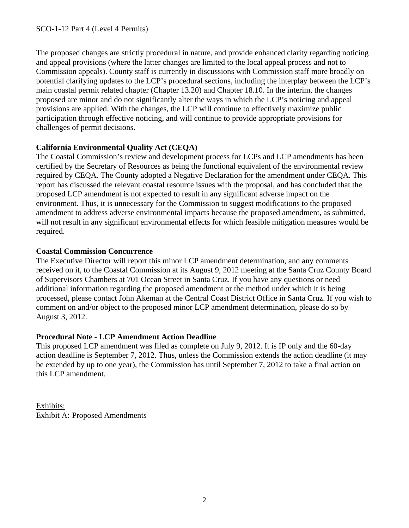The proposed changes are strictly procedural in nature, and provide enhanced clarity regarding noticing and appeal provisions (where the latter changes are limited to the local appeal process and not to Commission appeals). County staff is currently in discussions with Commission staff more broadly on potential clarifying updates to the LCP's procedural sections, including the interplay between the LCP's main coastal permit related chapter (Chapter 13.20) and Chapter 18.10. In the interim, the changes proposed are minor and do not significantly alter the ways in which the LCP's noticing and appeal provisions are applied. With the changes, the LCP will continue to effectively maximize public participation through effective noticing, and will continue to provide appropriate provisions for challenges of permit decisions.

# **California Environmental Quality Act (CEQA)**

The Coastal Commission's review and development process for LCPs and LCP amendments has been certified by the Secretary of Resources as being the functional equivalent of the environmental review required by CEQA. The County adopted a Negative Declaration for the amendment under CEQA. This report has discussed the relevant coastal resource issues with the proposal, and has concluded that the proposed LCP amendment is not expected to result in any significant adverse impact on the environment. Thus, it is unnecessary for the Commission to suggest modifications to the proposed amendment to address adverse environmental impacts because the proposed amendment, as submitted, will not result in any significant environmental effects for which feasible mitigation measures would be required.

# **Coastal Commission Concurrence**

The Executive Director will report this minor LCP amendment determination, and any comments received on it, to the Coastal Commission at its August 9, 2012 meeting at the Santa Cruz County Board of Supervisors Chambers at 701 Ocean Street in Santa Cruz. If you have any questions or need additional information regarding the proposed amendment or the method under which it is being processed, please contact John Akeman at the Central Coast District Office in Santa Cruz. If you wish to comment on and/or object to the proposed minor LCP amendment determination, please do so by August 3, 2012.

# **Procedural Note - LCP Amendment Action Deadline**

This proposed LCP amendment was filed as complete on July 9, 2012. It is IP only and the 60-day action deadline is September 7, 2012. Thus, unless the Commission extends the action deadline (it may be extended by up to one year), the Commission has until September 7, 2012 to take a final action on this LCP amendment.

Exhibits: Exhibit A: Proposed Amendments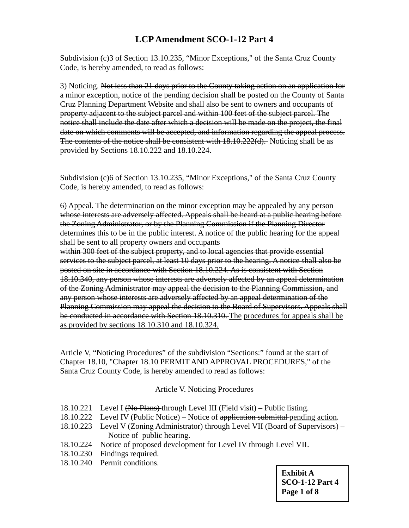# **LCP Amendment SCO-1-12 Part 4**

Subdivision (c)3 of Section 13.10.235, "Minor Exceptions," of the Santa Cruz County Code, is hereby amended, to read as follows:

3) Noticing. Not less than 21 days prior to the County taking action on an application for a minor exception, notice of the pending decision shall be posted on the County of Santa Cruz Planning Department Website and shall also be sent to owners and occupants of property adjacent to the subject parcel and within 100 feet of the subject parcel. The notice shall include the date after which a decision will be made on the project, the final date on which comments will be accepted, and information regarding the appeal process. The contents of the notice shall be consistent with 18.10.222(d). Noticing shall be as provided by Sections 18.10.222 and 18.10.224.

Subdivision (c)6 of Section 13.10.235, "Minor Exceptions," of the Santa Cruz County Code, is hereby amended, to read as follows:

6) Appeal. The determination on the minor exception may be appealed by any person whose interests are adversely affected. Appeals shall be heard at a public hearing before the Zoning Administrator, or by the Planning Commission if the Planning Director determines this to be in the public interest. A notice of the public hearing for the appeal shall be sent to all property owners and occupants

within 300 feet of the subject property, and to local agencies that provide essential services to the subject parcel, at least 10 days prior to the hearing. A notice shall also be posted on site in accordance with Section 18.10.224. As is consistent with Section 18.10.340, any person whose interests are adversely affected by an appeal determination of the Zoning Administrator may appeal the decision to the Planning Commission, and any person whose interests are adversely affected by an appeal determination of the Planning Commission may appeal the decision to the Board of Supervisors. Appeals shall be conducted in accordance with Section 18.10.310. The procedures for appeals shall be as provided by sections 18.10.310 and 18.10.324.

Article V, "Noticing Procedures" of the subdivision "Sections:" found at the start of Chapter 18.10, "Chapter 18.10 PERMIT AND APPROVAL PROCEDURES," of the Santa Cruz County Code, is hereby amended to read as follows:

### Article V. Noticing Procedures

- 18.10.221 Level I (No Plans) through Level III (Field visit) Public listing.
- 18.10.222 Level IV (Public Notice) Notice of application submittal pending action.
- 18.10.223 Level V (Zoning Administrator) through Level VII (Board of Supervisors) Notice of public hearing.
- 18.10.224 Notice of proposed development for Level IV through Level VII.
- 18.10.230 Findings required.
- 18.10.240 Permit conditions.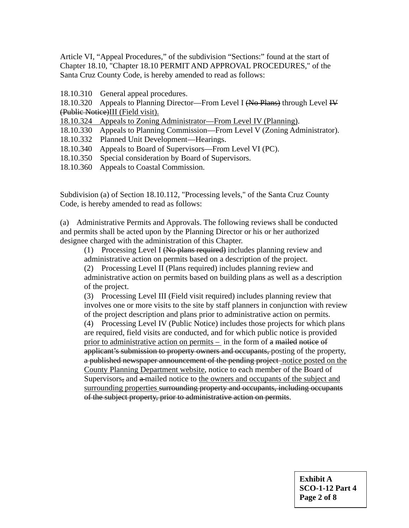Article VI, "Appeal Procedures," of the subdivision "Sections:" found at the start of Chapter 18.10, "Chapter 18.10 PERMIT AND APPROVAL PROCEDURES," of the Santa Cruz County Code, is hereby amended to read as follows:

18.10.310 General appeal procedures.

18.10.320 Appeals to Planning Director—From Level I (No Plans) through Level IV (Public Notice)III (Field visit).

18.10.324 Appeals to Zoning Administrator—From Level IV (Planning).

18.10.330 Appeals to Planning Commission—From Level V (Zoning Administrator).

18.10.332 Planned Unit Development—Hearings.

- 18.10.340 Appeals to Board of Supervisors—From Level VI (PC).
- 18.10.350 Special consideration by Board of Supervisors.
- 18.10.360 Appeals to Coastal Commission.

Subdivision (a) of Section 18.10.112, "Processing levels," of the Santa Cruz County Code, is hereby amended to read as follows:

(a) Administrative Permits and Approvals. The following reviews shall be conducted and permits shall be acted upon by the Planning Director or his or her authorized designee charged with the administration of this Chapter.

(1) Processing Level I (No plans required) includes planning review and administrative action on permits based on a description of the project.

(2) Processing Level II (Plans required) includes planning review and administrative action on permits based on building plans as well as a description of the project.

(3) Processing Level III (Field visit required) includes planning review that involves one or more visits to the site by staff planners in conjunction with review of the project description and plans prior to administrative action on permits.

(4) Processing Level IV (Public Notice) includes those projects for which plans are required, field visits are conducted, and for which public notice is provided prior to administrative action on permits – in the form of a mailed notice of applicant's submission to property owners and occupants, posting of the property, a published newspaper announcement of the pending project-notice posted on the County Planning Department website, notice to each member of the Board of Supervisors, and a mailed notice to the owners and occupants of the subject and surrounding properties surrounding property and occupants, including occupants of the subject property, prior to administrative action on permits.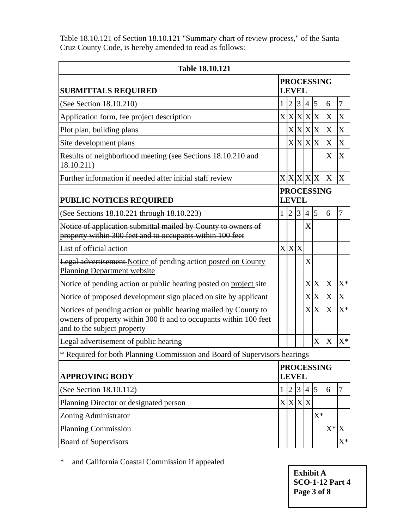Table 18.10.121 of Section 18.10.121 "Summary chart of review process," of the Santa Cruz County Code, is hereby amended to read as follows:

| <b>Table 18.10.121</b>                                                                                                                                              |                                   |                |   |                  |         |                |                |
|---------------------------------------------------------------------------------------------------------------------------------------------------------------------|-----------------------------------|----------------|---|------------------|---------|----------------|----------------|
| <b>SUBMITTALS REQUIRED</b>                                                                                                                                          | <b>PROCESSING</b><br><b>LEVEL</b> |                |   |                  |         |                |                |
| (See Section 18.10.210)                                                                                                                                             | $\mathbf{1}$                      | $\overline{2}$ | 3 | 4 5              |         | 6              | 7              |
| Application form, fee project description                                                                                                                           |                                   |                |   | X X X X          |         | X              | X              |
| Plot plan, building plans                                                                                                                                           |                                   |                |   |                  | X X X X | X              | X              |
| Site development plans                                                                                                                                              |                                   |                |   | X X X X          |         | X              | X              |
| Results of neighborhood meeting (see Sections 18.10.210 and<br>18.10.211)                                                                                           |                                   |                |   |                  |         | $\mathbf{X}$   | X              |
| Further information if needed after initial staff review                                                                                                            |                                   |                |   |                  | X X X X | X              | X              |
| <b>PUBLIC NOTICES REQUIRED</b>                                                                                                                                      | <b>PROCESSING</b><br><b>LEVEL</b> |                |   |                  |         |                |                |
| (See Sections 18.10.221 through 18.10.223)                                                                                                                          | 1                                 | <sup>2</sup>   | 3 | 4 5              |         | 6              | 7              |
| Notice of application submittal mailed by County to owners of<br>property within 300 feet and to occupants within 100 feet                                          |                                   |                |   | $\boldsymbol{X}$ |         |                |                |
| List of official action                                                                                                                                             |                                   | X X X          |   |                  |         |                |                |
| <b>Legal advertisement-Notice of pending action posted on County</b><br><b>Planning Department website</b>                                                          |                                   |                |   | X                |         |                |                |
| Notice of pending action or public hearing posted on project site                                                                                                   |                                   |                |   |                  | X X     | $\overline{X}$ | $X^*$          |
| Notice of proposed development sign placed on site by applicant                                                                                                     |                                   |                |   | X X              |         | X              | X              |
| Notices of pending action or public hearing mailed by County to<br>owners of property within 300 ft and to occupants within 100 feet<br>and to the subject property |                                   |                |   |                  | X X     | X              | $X^*$          |
| Legal advertisement of public hearing                                                                                                                               |                                   |                |   |                  | X       | X              | $X^*$          |
| * Required for both Planning Commission and Board of Supervisors hearings                                                                                           |                                   |                |   |                  |         |                |                |
| <b>APPROVING BODY</b>                                                                                                                                               | <b>PROCESSING</b><br><b>LEVEL</b> |                |   |                  |         |                |                |
| (See Section 18.10.112)                                                                                                                                             | 1                                 | $\overline{2}$ | 3 | 4 5              |         | 6              | 7              |
| Planning Director or designated person                                                                                                                              |                                   |                |   | X X X            |         |                |                |
| Zoning Administrator                                                                                                                                                |                                   |                |   |                  | $X^*$   |                |                |
| <b>Planning Commission</b>                                                                                                                                          |                                   |                |   |                  |         | $X^*$ X        |                |
| <b>Board of Supervisors</b>                                                                                                                                         |                                   |                |   |                  |         |                | $\mathrm{X}^*$ |

\* and California Coastal Commission if appealed

**Exhibit A SCO-1-12 Part 4 Page 3 of 8**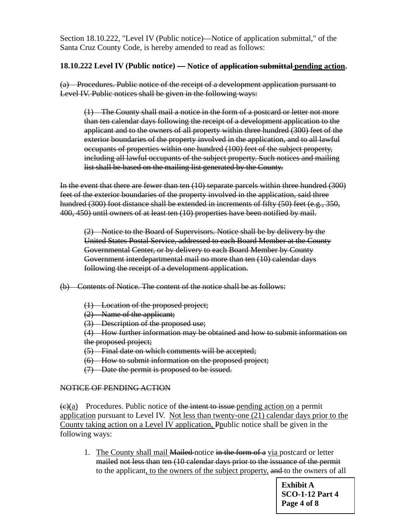Section 18.10.222, "Level IV (Public notice)—Notice of application submittal," of the Santa Cruz County Code, is hereby amended to read as follows:

### **18.10.222 Level IV (Public notice) — Notice of application submittal pending action.**

(a) Procedures. Public notice of the receipt of a development application pursuant to Level IV. Public notices shall be given in the following ways:

(1) The County shall mail a notice in the form of a postcard or letter not more than ten calendar days following the receipt of a development application to the applicant and to the owners of all property within three hundred (300) feet of the exterior boundaries of the property involved in the application, and to all lawful occupants of properties within one hundred (100) feet of the subject property, including all lawful occupants of the subject property. Such notices and mailing list shall be based on the mailing list generated by the County.

In the event that there are fewer than ten (10) separate parcels within three hundred (300) feet of the exterior boundaries of the property involved in the application, said three hundred (300) foot distance shall be extended in increments of fifty (50) feet (e.g., 350, 400, 450) until owners of at least ten (10) properties have been notified by mail.

(2) Notice to the Board of Supervisors. Notice shall be by delivery by the United States Postal Service, addressed to each Board Member at the County Governmental Center, or by delivery to each Board Member by County Government interdepartmental mail no more than ten (10) calendar days following the receipt of a development application.

(b) Contents of Notice. The content of the notice shall be as follows:

- (1) Location of the proposed project;
- (2) Name of the applicant;
- (3) Description of the proposed use;

(4) How further information may be obtained and how to submit information on the proposed project;

- (5) Final date on which comments will be accepted;
- (6) How to submit information on the proposed project;
- (7) Date the permit is proposed to be issued.

#### NOTICE OF PENDING ACTION

 $\left(\frac{e}{a}\right)$  Procedures. Public notice of the intent to issue pending action on a permit application pursuant to Level IV. Not less than twenty-one (21) calendar days prior to the County taking action on a Level IV application, Ppublic notice shall be given in the following ways:

1. The County shall mail **Mailed-**notice in the form of a via postcard or letter mailed not less than ten (10 calendar days prior to the issuance of the permit to the applicant, to the owners of the subject property, and to the owners of all

> **Exhibit A SCO-1-12 Part 4 Page 4 of 8**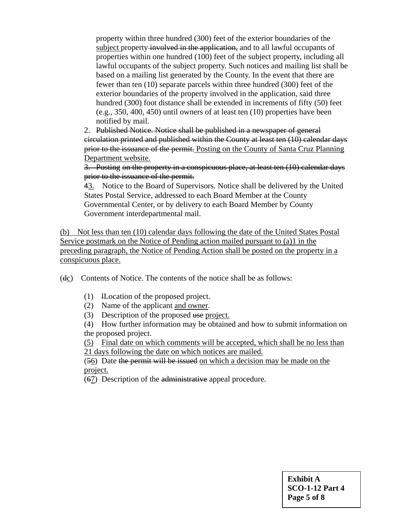property within three hundred (300) feet of the exterior boundaries of the subject property-involved in the application, and to all lawful occupants of properties within one hundred (100) feet of the subject property, including all lawful occupants of the subject property. Such notices and mailing list shall be based on a mailing list generated by the County. In the event that there are fewer than ten (10) separate parcels within three hundred (300) feet of the exterior boundaries of the property involved in the application, said three hundred (300) foot distance shall be extended in increments of fifty (50) feet (e.g., 350, 400, 450) until owners of at least ten (10) properties have been notified by mail.

2. Published Notice. Notice shall be published in a newspaper of general circulation printed and published within the County at least ten (10) calendar days prior to the issuance of the permit. Posting on the County of Santa Cruz Planning Department website.

3. Posting on the property in a conspicuous place, at least ten (10) calendar days prior to the issuance of the permit.

43. Notice to the Board of Supervisors. Notice shall be delivered by the United States Postal Service, addressed to each Board Member at the County Governmental Center, or by delivery to each Board Member by County Government interdepartmental mail.

(b) Not less than ten (10) calendar days following the date of the United States Postal Service postmark on the Notice of Pending action mailed pursuant to (a)1 in the preceding paragraph, the Notice of Pending Action shall be posted on the property in a conspicuous place.

(dc) Contents of Notice. The contents of the notice shall be as follows:

- (1) lLocation of the proposed project.
- (2) Name of the applicant and owner.
- (3) Description of the proposed use project.

(4) How further information may be obtained and how to submit information on the proposed project.

(5) Final date on which comments will be accepted, which shall be no less than 21 days following the date on which notices are mailed.

(56) Date the permit will be issued on which a decision may be made on the project.

(67) Description of the administrative appeal procedure.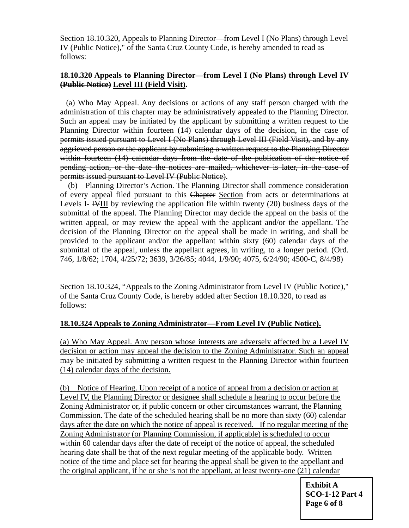Section 18.10.320, Appeals to Planning Director—from Level I (No Plans) through Level IV (Public Notice)," of the Santa Cruz County Code, is hereby amended to read as follows:

## **18.10.320 Appeals to Planning Director—from Level I (No Plans) through Level IV (Public Notice) Level III (Field Visit).**

 (a) Who May Appeal. Any decisions or actions of any staff person charged with the administration of this chapter may be administratively appealed to the Planning Director. Such an appeal may be initiated by the applicant by submitting a written request to the Planning Director within fourteen (14) calendar days of the decision, in the case of permits issued pursuant to Level I (No Plans) through Level III (Field Visit), and by any aggrieved person or the applicant by submitting a written request to the Planning Director within fourteen (14) calendar days from the date of the publication of the notice of pending action, or the date the notices are mailed, whichever is later, in the case of permits issued pursuant to Level IV (Public Notice).

 (b) Planning Director's Action. The Planning Director shall commence consideration of every appeal filed pursuant to this Chapter Section from acts or determinations at Levels I- IVIII by reviewing the application file within twenty (20) business days of the submittal of the appeal. The Planning Director may decide the appeal on the basis of the written appeal, or may review the appeal with the applicant and/or the appellant. The decision of the Planning Director on the appeal shall be made in writing, and shall be provided to the applicant and/or the appellant within sixty (60) calendar days of the submittal of the appeal, unless the appellant agrees, in writing, to a longer period. (Ord. 746, 1/8/62; 1704, 4/25/72; 3639, 3/26/85; 4044, 1/9/90; 4075, 6/24/90; 4500-C, 8/4/98)

Section 18.10.324, "Appeals to the Zoning Administrator from Level IV (Public Notice)," of the Santa Cruz County Code, is hereby added after Section 18.10.320, to read as follows:

## **18.10.324 Appeals to Zoning Administrator—From Level IV (Public Notice).**

(a) Who May Appeal. Any person whose interests are adversely affected by a Level IV decision or action may appeal the decision to the Zoning Administrator. Such an appeal may be initiated by submitting a written request to the Planning Director within fourteen (14) calendar days of the decision.

(b) Notice of Hearing. Upon receipt of a notice of appeal from a decision or action at Level IV, the Planning Director or designee shall schedule a hearing to occur before the Zoning Administrator or, if public concern or other circumstances warrant, the Planning Commission. The date of the scheduled hearing shall be no more than sixty (60) calendar days after the date on which the notice of appeal is received. If no regular meeting of the Zoning Administrator (or Planning Commission, if applicable) is scheduled to occur within 60 calendar days after the date of receipt of the notice of appeal, the scheduled hearing date shall be that of the next regular meeting of the applicable body. Written notice of the time and place set for hearing the appeal shall be given to the appellant and the original applicant, if he or she is not the appellant, at least twenty-one (21) calendar

> **Exhibit A SCO-1-12 Part 4 Page 6 of 8**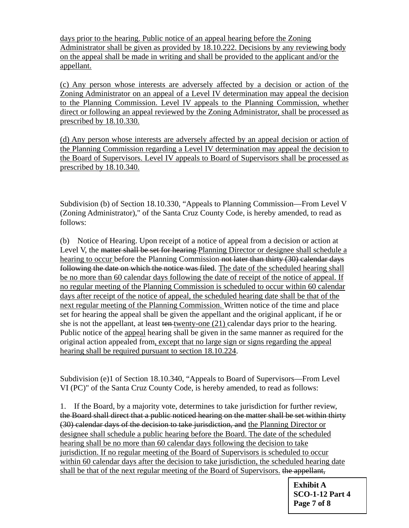days prior to the hearing. Public notice of an appeal hearing before the Zoning Administrator shall be given as provided by 18.10.222. Decisions by any reviewing body on the appeal shall be made in writing and shall be provided to the applicant and/or the appellant.

(c) Any person whose interests are adversely affected by a decision or action of the Zoning Administrator on an appeal of a Level IV determination may appeal the decision to the Planning Commission. Level IV appeals to the Planning Commission, whether direct or following an appeal reviewed by the Zoning Administrator, shall be processed as prescribed by 18.10.330.

(d) Any person whose interests are adversely affected by an appeal decision or action of the Planning Commission regarding a Level IV determination may appeal the decision to the Board of Supervisors. Level IV appeals to Board of Supervisors shall be processed as prescribed by 18.10.340.

Subdivision (b) of Section 18.10.330, "Appeals to Planning Commission—From Level V (Zoning Administrator)," of the Santa Cruz County Code, is hereby amended, to read as follows:

(b) Notice of Hearing. Upon receipt of a notice of appeal from a decision or action at Level V, the matter shall be set for hearing Planning Director or designee shall schedule a hearing to occur before the Planning Commission not later than thirty (30) calendar days following the date on which the notice was filed. The date of the scheduled hearing shall be no more than 60 calendar days following the date of receipt of the notice of appeal. If no regular meeting of the Planning Commission is scheduled to occur within 60 calendar days after receipt of the notice of appeal, the scheduled hearing date shall be that of the next regular meeting of the Planning Commission. Written notice of the time and place set for hearing the appeal shall be given the appellant and the original applicant, if he or she is not the appellant, at least ten twenty-one (21) calendar days prior to the hearing. Public notice of the appeal hearing shall be given in the same manner as required for the original action appealed from, except that no large sign or signs regarding the appeal hearing shall be required pursuant to section 18.10.224.

Subdivision (e)1 of Section 18.10.340, "Appeals to Board of Supervisors—From Level VI (PC)" of the Santa Cruz County Code, is hereby amended, to read as follows:

1. If the Board, by a majority vote, determines to take jurisdiction for further review, the Board shall direct that a public noticed hearing on the matter shall be set within thirty (30) calendar days of the decision to take jurisdiction, and the Planning Director or designee shall schedule a public hearing before the Board. The date of the scheduled hearing shall be no more than 60 calendar days following the decision to take jurisdiction. If no regular meeting of the Board of Supervisors is scheduled to occur within 60 calendar days after the decision to take jurisdiction, the scheduled hearing date shall be that of the next regular meeting of the Board of Supervisors. the appellant,

> **Exhibit A SCO-1-12 Part 4 Page 7 of 8**